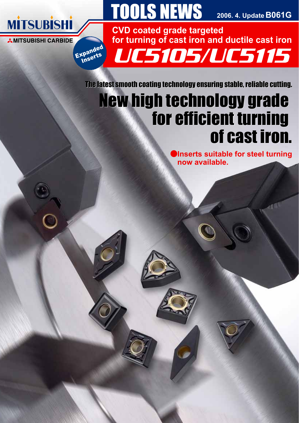

Expanded<br>Expanded <sup>(pa</sup>erts<br>Inserts

# **TOOLS NEWS**

**B061G 2006. 4. Update**

UC5105/UC5115 **CVD coated grade targeted for turning of cast iron and ductile cast iron**

The latest smooth coating technology ensuring stable, reliable cutting. The latest smooth coating technology ensuring stable, reliable cutting.

# New high technology grade<br>for efficient turning<br>of cast iron. for efficient turning of cast iron.

**Inserts suitable for steel turning now available.**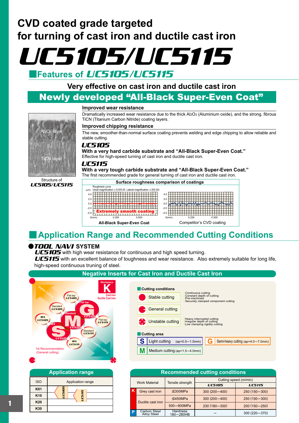

# **Very effective on cast iron and ductile cast iron**

# Newly developed "All-Black Super-Even Coat"

### **Improved wear resistance**

Dramatically increased wear resistance due to the thick Al2O3 (Aluminium oxide), and the strong, fibrous TiCN (Titanium Carbon Nitride) coating layers.

#### **Improved chipping resistance**

The new, smoother-than-normal surface coating prevents welding and edge chipping to allow reliable and stable cutting.

## UC5105

**With a very hard carbide substrate and "All-Black Super-Even Coat."**  Effective for high-speed turning of cast iron and ductile cast iron.

### UC5115

**With a very tough carbide substrate and "All-Black Super-Even Coat."** The first recommended grade for general turning of cast iron and ductile cast iron.



# **Application Range and Recommended Cutting Conditions**

## **@***TOOL NAVI* **SYSTEM**

UC5105/UC5115

Structure of

**TiCN laye** 

 $\log 2$ 

UC5105 with high wear resistance for continuous and high speed turning.

UC5115 with an excellent balance of toughness and wear resistance. Also extremely suitable for long life, high-speed continuous truning of steel.





|                                                                   | <b>Recommended cutting conditions</b> |                              |                  |                  |  |  |  |  |  |  |  |
|-------------------------------------------------------------------|---------------------------------------|------------------------------|------------------|------------------|--|--|--|--|--|--|--|
| Cutting speed (m/min)<br>Tensile strength<br><b>Work Material</b> |                                       |                              |                  |                  |  |  |  |  |  |  |  |
|                                                                   |                                       |                              | <b>UC5105</b>    | <b>UC5115</b>    |  |  |  |  |  |  |  |
| ιK                                                                | Grey cast iron                        | $\leq$ 300MPa                | $300(200 - 400)$ | 250 (150 - 300)  |  |  |  |  |  |  |  |
|                                                                   | Ductile cast iron                     | $\leq$ 450MPa                | $300(200 - 400)$ | 250 (150 - 300)  |  |  |  |  |  |  |  |
|                                                                   |                                       | 500-800MPa                   | 230 (180-300)    | $200(150 - 250)$ |  |  |  |  |  |  |  |
| D                                                                 | Carbon Steel<br><b>Alloy Steel</b>    | <b>Hardness</b><br>180-280HB |                  | 300 (220 - 370)  |  |  |  |  |  |  |  |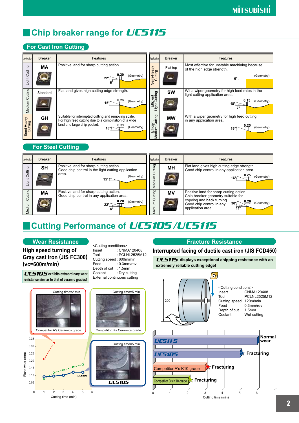# **Chip breaker range for** *UC5115*

# **For Cast Iron Cutting**

| Application           | <b>Breaker</b>           | Features                                                                                                                                                                        | Application                 | <b>Breaker</b> | Features                                                                                                 |
|-----------------------|--------------------------|---------------------------------------------------------------------------------------------------------------------------------------------------------------------------------|-----------------------------|----------------|----------------------------------------------------------------------------------------------------------|
| Light Cutting         | МA                       | Positive land for sharp cutting action.<br>(Geometry)                                                                                                                           | Semi-Heavy<br>Cutting       | Flat top       | Most effective for unstable machining because<br>of the high edge strength.<br>(Geometry)<br>0°-         |
| Medium Cutting        | Standard                 | Flat land gives high cutting edge strength.<br>(Geometry)                                                                                                                       | Efficient<br>.ight Cutting  | <b>SW</b>      | Wit a wiper geometry for high feed rates in the<br>light cutting application area.<br>0.15<br>(Geometry) |
| Semi-Heavy<br>Cutting | <b>GH</b>                | Suitable for interrupted cutting and removing scale.<br>For high feed cutting due to a combination of a wide<br>land and large chip pocket.<br>0.32<br>(Geometry)<br>$18^\circ$ | Efficient<br>Medium Cutting | <b>MW</b>      | With a wiper geometry for high feed cutting<br>in any application area.<br>(Geometry)                    |
|                       | <b>For Steel Cutting</b> |                                                                                                                                                                                 |                             |                |                                                                                                          |
| Application           | <b>Breaker</b>           | Features                                                                                                                                                                        | Application                 | <b>Breaker</b> | Features                                                                                                 |
| -ight Cutting         | <b>SH</b>                | Positive land for sharp cutting action.<br>Good chip control in the light cutting application<br>area.<br>(Geometry)<br>$15^{\circ}$                                            | Cutting<br>edium            | <b>MH</b>      | Flat land gives high cutting edge strength.<br>Good chip control in any application area.<br>(Geometry)  |

## **For Steel Cutting**

| Application       | <b>Breaker</b> | Features                                                                                                             | Application          | <b>Breaker</b> | Features                                                                                                                                                                                  |
|-------------------|----------------|----------------------------------------------------------------------------------------------------------------------|----------------------|----------------|-------------------------------------------------------------------------------------------------------------------------------------------------------------------------------------------|
| Cutting<br>Light  | SΗ             | Positive land for sharp cutting action.<br>Good chip control in the light cutting application<br>area.<br>(Geometry) | Cutting<br>dium<br>Φ | <b>MH</b>      | Flat land gives high cutting edge strength.<br>Good chip control in any application area.<br>(Geometry)                                                                                   |
| Cutting<br>Medium | <b>MA</b>      | Positive land for sharp cutting action.<br>Good chip control in any application area.<br>(Geometry)                  | Cutting<br>edium     | MV             | Positive land for sharp cutting action.<br>Chip breaker geometry suitable for<br>copying and back turning.<br>(Geometry)<br>$30^{\circ}$<br>Good chip control in any<br>application area. |

# **Cutting Performance of** *UC5105/UC5115*

### **Wear Resistance**

**High speed turning of Gray cast iron (JIS FC300) (vc=600m/min)**

UC5105 **exhibits extraordinary wear resistance similar to that of ceramic grades!**

<Cutting conditions> Insert Tool Cutting speed : 600m/min Feed Depth of cut : 1.5mm Coolant External continuous cutting : CNMA120408 : PCLNL2525M12 : 0.3mm/rev : Dry cutting



## **Fracture Resistance**

### **Interrupted facing of ductile cast iron (JIS FCD450)**

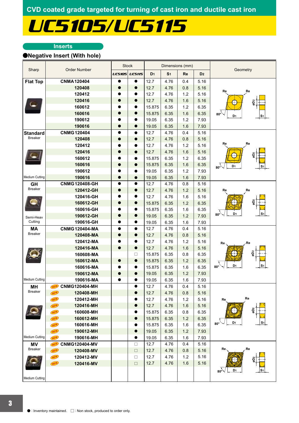# UC5105/UC5115

### **Inserts**

### a**Negative Insert (With hole)**

|                       |                                    |               | <b>Stock</b>  |                |                | Dimensions (mm) |                |                                                |
|-----------------------|------------------------------------|---------------|---------------|----------------|----------------|-----------------|----------------|------------------------------------------------|
| Sharp                 | <b>Order Number</b>                | <b>UC5105</b> | <b>UC5115</b> | D <sub>1</sub> | S <sub>1</sub> | Re              | D <sub>2</sub> | Geometry                                       |
| <b>Flat Top</b>       | <b>CNMA120404</b>                  | $\bullet$     | $\bullet$     | 12.7           | 4.76           | 0.4             | 5.16           |                                                |
|                       | 120408                             | 0             | $\bullet$     | 12.7           | 4.76           | 0.8             | 5.16           |                                                |
|                       | 120412                             |               | ●             | 12.7           | 4.76           | 1.2             | 5.16           | Re<br>Re                                       |
|                       | 120416                             |               | 0             | 12.7           | 4.76           | 1.6             | 5.16           | ã                                              |
|                       | 160612                             |               |               | 15.875         | 6.35           | 1.2             | 6.35           |                                                |
|                       | 160616                             | 0             | $\bullet$     | 15.875         | 6.35           | 1.6             | 6.35           | $80^\circ$<br>D <sub>1</sub>                   |
|                       | 190612                             |               | $\bullet$     | 19.05          | 6.35           | 1.2             | 7.93           | S1                                             |
|                       | 190616                             | $\bullet$     | $\bullet$     | 19.05          | 6.35           | 1.6             | 7.93           |                                                |
| <b>Standard</b>       | <b>CNMG120404</b>                  | $\bullet$     | $\bullet$     | 12.7           | 4.76           | 0.4             | 5.16           |                                                |
| <b>Breaker</b>        | 120408                             | $\bullet$     | $\bullet$     | 12.7           | 4.76           | 0.8             | 5.16           |                                                |
|                       | 120412                             |               | 0             | 12.7           | 4.76           | 1.2             | 5.16           | Re<br>Re                                       |
|                       | 120416                             |               |               | 12.7           | 4.76           | 1.6             | 5.16           |                                                |
|                       | 160612                             |               | ●             | 15.875         | 6.35           | 1.2             | 6.35           | g                                              |
|                       | 160616                             | $\bullet$     | $\bullet$     | 15.875         | 6.35           | 1.6             | 6.35           | D <sub>1</sub><br>S <sub>1</sub>               |
|                       | 190612                             |               | $\bullet$     | 19.05          | 6.35           | 1.2             | 7.93           | $80^\circ$                                     |
| Medium Cutting        | 190616                             |               | $\bullet$     | 19.05          | 6.35           | 1.6             | 7.93           |                                                |
| <b>GH</b>             | <b>CNMG120408-GH</b>               | $\bullet$     | $\bullet$     | 12.7           | 4.76           | 0.8             | 5.16           |                                                |
| <b>Breaker</b>        | 120412-GH                          | $\bullet$     | $\bullet$     | 12.7           | 4.76           | 1.2             | 5.16           | Re<br>Re                                       |
|                       | 120416-GH                          |               | 0             | 12.7           | 4.76           | 1.6             | 5.16           |                                                |
|                       | 160612-GH                          |               | $\bullet$     | 15.875         | 6.35           | 1.2             | 6.35           |                                                |
|                       | 160616-GH                          |               | O             | 15.875         | 6.35           | 1.6             | 6.35           |                                                |
|                       | 190612-GH                          |               | $\bullet$     | 19.05          | 6.35           | 1.2             | 7.93           | D <sub>1</sub><br>S1<br>$80^\circ$             |
| Semi-Heav<br>Cutting  | 190616-GH                          |               | $\bullet$     | 19.05          | 6.35           | 1.6             | 7.93           |                                                |
| <b>MA</b>             | <b>CNMG120404-MA</b>               | $\bullet$     | $\bullet$     | 12.7           | 4.76           | 0.4             | 5.16           |                                                |
| <b>Breaker</b>        | 120408-MA                          | $\bullet$     | $\bullet$     | 12.7           | 4.76           | 0.8             | 5.16           |                                                |
|                       | 120412-MA                          |               | $\bullet$     | 12.7           | 4.76           | 1.2             | 5.16           |                                                |
|                       | 120416-MA                          | $\bullet$     | $\bullet$     | 12.7           | 4.76           | 1.6             | 5.16           | Re<br>Re                                       |
|                       | 160608-MA                          |               | $\Box$        | 15.875         | 6.35           | 0.8             | 6.35           | 5g                                             |
|                       | 160612-MA                          |               | $\bullet$     | 15.875         | 6.35           | 1.2             | 6.35           |                                                |
|                       | 160616-MA                          |               | 0             | 15.875         | 6.35           | 1.6             | 6.35           | D <sub>1</sub><br>S <sub>1</sub><br>$80^\circ$ |
|                       | 190612-MA                          | 0             | $\bullet$     | 19.05          | 6.35           | 1.2             | 7.93           |                                                |
| Medium Cutting        | 190616-MA                          |               | $\bullet$     | 19.05          | 6.35           | 1.6             | 7.93           |                                                |
| MH                    | <b>CNMG120404-MH</b>               |               |               | 12.7           | 4.76           | 0.4             | 5.16           |                                                |
| <b>Breaker</b>        | (NEW)<br><b>NEW</b><br>120408-MH   |               | $\bullet$     | 12.7           | 4.76           | 0.8             | 5.16           |                                                |
|                       | NEW<br>120412-MH                   |               | 0             | 12.7           | 4.76           | 1.2             | 5.16           | Re<br>Re                                       |
|                       | <b>NEW</b><br>120416-MH            |               | $\bullet$     | 12.7           | 4.76           | 1.6             | 5.16           |                                                |
|                       | <b>NEW</b><br>160608-MH            |               | ●             | 15.875         | 6.35           | 0.8             | 6.35           | ã                                              |
|                       | <b>NEW</b><br>160612-MH            |               | $\bullet$     | 15.875         | 6.35           | 1.2             | 6.35           |                                                |
|                       | NEW<br>160616-MH                   |               | $\bullet$     | 15.875         | 6.35           | 1.6             | 6.35           | D <sub>1</sub><br>S <sub>1</sub><br>$80^\circ$ |
|                       | NEW<br>190612-MH                   |               | $\bullet$     | 19.05          | 6.35           | 1.2             | 7.93           |                                                |
| <b>Medium Cutting</b> | <b>NEW</b><br>190616-MH            |               | $\bullet$     | 19.05          | 6.35           | 1.6             | 7.93           |                                                |
|                       |                                    |               | $\Box$        | 12.7           | 4.76           | 0.4             | 5.16           |                                                |
| ΜV<br><b>Breaker</b>  | <b>CNMG120404-MV</b><br>NEW<br>NEW |               | $\Box$        | 12.7           | 4.76           | 0.8             | 5.16           | Re.<br>Re                                      |
|                       | 120408-MV                          |               |               | 12.7           | 4.76           | 1.2             | 5.16           |                                                |
|                       | <b>NEW</b><br>120412-MV            |               | $\Box$        |                |                |                 |                | $\bigoplus$                                    |
|                       | <b>NEW</b><br>120416-MV            |               | $\Box$        | 12.7           | 4.76           | 1.6             | 5.16           |                                                |
|                       |                                    |               |               |                |                |                 |                | $80^{\circ}$<br>D <sub>1</sub><br>S1           |
| Medium Cutting        |                                    |               |               |                |                |                 |                |                                                |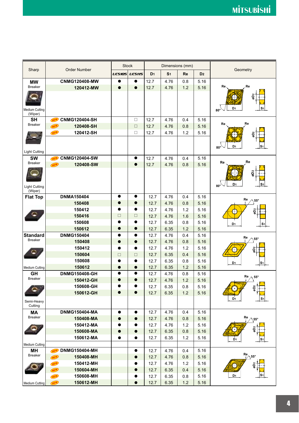|                                  |                                                 |               | <b>Stock</b>           |                | Dimensions (mm) |           |                | Geometry                                             |
|----------------------------------|-------------------------------------------------|---------------|------------------------|----------------|-----------------|-----------|----------------|------------------------------------------------------|
| Sharp                            | <b>Order Number</b>                             | <b>UC5105</b> | <b>UC5115</b>          | D <sub>1</sub> | S <sub>1</sub>  | <b>Re</b> | D <sub>2</sub> |                                                      |
| <b>MW</b>                        | <b>CNMG120408-MW</b>                            |               | O                      | 12.7           | 4.76            | 0.8       | 5.16           |                                                      |
| <b>Breaker</b>                   | 120412-MW                                       |               |                        | 12.7           | 4.76            | 1.2       | 5.16           | Re<br>Re                                             |
| <b>Medium Cutting</b><br>(Wiper) |                                                 |               |                        |                |                 |           |                | 2Dz<br>D1<br>S <sub>1</sub><br>$80^\circ$            |
| <b>SH</b>                        | <b>CNMG120404-SH</b><br>NEW                     |               | $\Box$                 | 12.7           | 4.76            | 0.4       | 5.16           |                                                      |
| <b>Breaker</b>                   | <b>NEW</b><br>120408-SH                         |               | $\Box$                 | 12.7           | 4.76            | 0.8       | 5.16           | Re<br>Re                                             |
|                                  | 120412-SH<br><b>NEW</b>                         |               | □                      | 12.7           | 4.76            | 1.2       | 5.16           |                                                      |
|                                  |                                                 |               |                        |                |                 |           |                | D <sub>1</sub><br>$80^\circ$                         |
| Light Cutting                    |                                                 |               |                        |                |                 |           |                |                                                      |
| <b>SW</b><br><b>Breaker</b>      | <b>CNMG120404-SW</b><br><b>NEW</b><br>120408-SW |               | $\bullet$<br>$\bullet$ | 12.7           | 4.76            | 0.4       | 5.16           | Re<br>Re                                             |
| <b>Light Cutting</b><br>(Wiper)  | <b>NEW</b>                                      |               |                        | 12.7           | 4.76            | 0.8       | 5.16           | Q5<br>D <sub>1</sub><br>S <sub>1</sub><br>$80^\circ$ |
| <b>Flat Top</b>                  | <b>DNMA150404</b>                               | $\bullet$     | $\bullet$              | 12.7           | 4.76            | 0.4       | 5.16           | Re<br>$55^{\circ}$                                   |
|                                  | 150408                                          | $\bullet$     | $\bullet$              | 12.7           | 4.76            | 0.8       | 5.16           |                                                      |
|                                  | 150412                                          | O             | $\bullet$              | 12.7           | 4.76            | 1.2       | 5.16           | øD <sub>2</sub>                                      |
|                                  | 150416                                          | □             | $\Box$                 | 12.7           | 4.76            | 1.6       | 5.16           |                                                      |
|                                  | 150608                                          |               | $\bullet$              | 12.7           | 6.35            | 0.8       | 5.16           | D <sub>1</sub><br>S <sub>1</sub>                     |
|                                  | 150612                                          | $\bullet$     | $\bullet$              | 12.7           | 6.35            | 1.2       | 5.16           |                                                      |
| <b>Standard</b>                  | <b>DNMG150404</b>                               | $\bullet$     | $\bullet$              | 12.7           | 4.76            | 0.4       | 5.16           | Re<br>$55^{\circ}$                                   |
| <b>Breaker</b>                   | 150408                                          |               | $\bullet$              | 12.7           | 4.76            | 0.8       | 5.16           |                                                      |
|                                  | 150412                                          | 0             | $\bullet$              | 12.7           | 4.76            | 1.2       | 5.16           | ã                                                    |
|                                  | 150604                                          | $\Box$        | $\Box$                 | 12.7           | 6.35            | 0.4       | 5.16           |                                                      |
|                                  | 150608                                          |               | $\bullet$              | 12.7           | 6.35            | 0.8       | 5.16           | D <sub>1</sub><br>S <sub>1</sub>                     |
| <b>Medium Cutting</b>            | 150612                                          | ●             | $\bullet$              | 12.7           | 6.35            | 1.2       | 5.16           |                                                      |
| <b>GH</b><br><b>Breaker</b>      | DNMG150408-GH                                   | $\bullet$     | $\bullet$              | 12.7           | 4.76            | 0.8       | 5.16           | $Re \n\wedge$<br>$55^{\circ}$                        |
|                                  | 150412-GH                                       |               |                        | 12.7           | 4.76            | 1.2       | 5.16           |                                                      |
|                                  | 150608-GH                                       |               |                        | 12.7           | 6.35            | 0.8       | 5.16           | øD2                                                  |
|                                  | 150612-GH                                       | $\bullet$     |                        | 12.7           | 6.35            | 1.2       | 5.16           | D <sub>1</sub><br>S <sub>1</sub>                     |
| Semi-Heavy<br>Cutting            |                                                 |               |                        |                |                 |           |                |                                                      |
| MA                               | <b>DNMG150404-MA</b>                            | $\bullet$     | $\bullet$              | 12.7           | 4.76            | 0.4       | 5.16           |                                                      |
| <b>Breaker</b>                   | 150408-MA                                       | $\bullet$     | $\bullet$              | 12.7           | 4.76            | 0.8       | 5.16           | Re<br>$\backslash 55^\circ$                          |
|                                  | 150412-MA                                       |               |                        | 12.7           | 4.76            | 1.2       | 5.16           | øD <sub>2</sub>                                      |
|                                  | 150608-MA                                       |               | $\bullet$              | 12.7           | 6.35            | 0.8       | 5.16           | $\pm$                                                |
|                                  | 150612-MA                                       | 0             | 0                      | 12.7           | 6.35            | 1.2       | 5.16           | S <sub>1</sub><br>D <sub>1</sub>                     |
| Medium Cutting                   |                                                 |               |                        |                |                 |           |                |                                                      |
| MH<br><b>Breaker</b>             | <b>DNMG150404-MH</b><br>NEW                     |               | $\bullet$              | 12.7           | 4.76            | 0.4       | 5.16           |                                                      |
|                                  | <b>NEW</b><br>150408-MH                         |               | $\bullet$              | 12.7           | 4.76            | 0.8       | 5.16           | $\mathsf{Re}_{\text{max}}$                           |
|                                  | 150412-MH<br><b>NEW</b>                         |               | $\bullet$              | 12.7           | 4.76            | 1.2       | 5.16           | øD <sub>2</sub><br>0                                 |
|                                  | NEW<br>150604-MH                                |               | $\bullet$              | 12.7           | 6.35            | 0.4       | 5.16           |                                                      |
|                                  | 150608-MH<br><b>NEW</b>                         |               | 0                      | 12.7           | 6.35            | 0.8       | 5.16           | D <sub>1</sub>                                       |
| Medium Cutting                   | 150612-MH<br><b>NEW</b>                         |               | $\bullet$              | 12.7           | 6.35            | 1.2       | 5.16           |                                                      |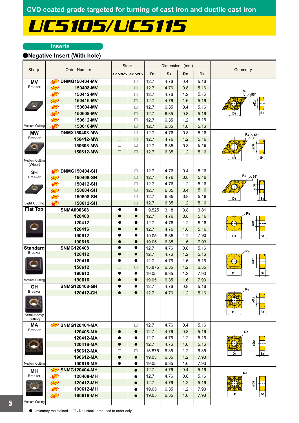# UC5105/UC5115

### **Inserts**

## a**Negative Insert (With hole)**

|                       |                             |               | <b>Stock</b>  |                | Dimensions (mm) |     |                |                                   |
|-----------------------|-----------------------------|---------------|---------------|----------------|-----------------|-----|----------------|-----------------------------------|
| Sharp                 | <b>Order Number</b>         | <b>UC5105</b> | <b>UC5115</b> | D <sub>1</sub> | S <sub>1</sub>  | Re  | D <sub>2</sub> | Geometry                          |
| MV                    | <b>DNMG150404-MV</b><br>NEW |               | $\Box$        | 12.7           | 4.76            | 0.4 | 5.16           |                                   |
| <b>Breaker</b>        | <b>NEW</b><br>150408-MV     |               | $\Box$        | 12.7           | 4.76            | 0.8 | 5.16           |                                   |
|                       | NEW<br>150412-MV            |               | □             | 12.7           | 4.76            | 1.2 | 5.16           | Re<br>$\bigtriangleup$ 55°        |
|                       | NEW<br>150416-MV            |               | $\Box$        | 12.7           | 4.76            | 1.6 | 5.16           |                                   |
|                       | NEW<br>150604-MV            |               | $\Box$        | 12.7           | 6.35            | 0.4 | 5.16           | ğ<br>$\pm$                        |
|                       | NEW<br>150608-MV            |               | $\Box$        | 12.7           | 6.35            | 0.8 | 5.16           | D <sub>1</sub><br>S٠              |
|                       | NEW<br>150612-MV            |               | $\Box$        | 12.7           | 6.35            | 1.2 | 5.16           |                                   |
| Medium Cutting        | <b>NEW</b><br>150616-MV     |               | $\Box$        | 12.7           | 6.35            | 1.6 | 5.16           |                                   |
| <b>MW</b>             | DNMX150408-MW               | $\Box$        | $\Box$        | 12.7           | 4.76            | 0.8 | 5.16           |                                   |
| Breaker               | 150412-MW                   | $\Box$        | $\Box$        | 12.7           | 4.76            | 1.2 | 5.16           | $Re \wedge 55^{\circ}$            |
|                       | 150608-MW                   | $\Box$        | $\Box$        | 12.7           | 6.35            | 0.8 | 5.16           | gD <sub>2</sub>                   |
|                       | 150612-MW                   | $\Box$        | $\Box$        | 12.7           | 6.35            | 1.2 | 5.16           |                                   |
| Medium Cutting        |                             |               |               |                |                 |     |                | S <sub>1</sub><br>D1              |
| (Wiper)<br><b>SH</b>  | <b>DNMG150404-SH</b><br>NEW |               | $\Box$        | 12.7           | 4.76            | 0.4 | 5.16           |                                   |
| <b>Breaker</b>        | 150408-SH<br>NEW            |               | $\Box$        | 12.7           | 4.76            | 0.8 | 5.16           | Re<br>$\wedge$ 55°                |
|                       | 150412-SH<br>NEW            |               | $\Box$        | 12.7           | 4.76            | 1.2 | 5.16           |                                   |
|                       | 150604-SH<br>NEW            |               | $\Box$        | 12.7           | 6.35            | 0.4 | 5.16           | ã                                 |
|                       | 150608-SH<br>NEW            |               | $\Box$        | 12.7           | 6.35            | 0.8 | 5.16           |                                   |
| <b>Light Cutting</b>  | NEW<br>150612-SH            |               | $\Box$        | 12.7           | 6.35            | 1.2 | 5.16           | D1<br>S <sub>1</sub>              |
| <b>Flat Top</b>       | <b>SNMA090308</b>           |               | $\bullet$     | 9.525          | 3.18            | 0.8 | 3.81           |                                   |
|                       | 120408                      |               | $\bullet$     | 12.7           | 4.76            | 0.8 | 5.16           | Re                                |
|                       | 120412                      |               | $\bullet$     | 12.7           | 4.76            | 1.2 | 5.16           | øD2                               |
|                       | 120416                      | $\bullet$     | $\bullet$     | 12.7           | 4.76            | 1.6 | 5.16           |                                   |
|                       | 190612                      |               | $\bullet$     | 19.05          | 6.35            | 1.2 | 7.93           | D <sub>1</sub><br>S1              |
|                       | 190616                      | $\bullet$     | $\bullet$     | 19.05          | 6.35            | 1.6 | 7.93           |                                   |
| <b>Standard</b>       | <b>SNMG120408</b>           | $\bullet$     | $\bullet$     | 12.7           | 4.76            | 0.8 | 5.16           |                                   |
| <b>Breaker</b>        | 120412                      | $\bullet$     | $\bullet$     | 12.7           | 4.76            | 1.2 | 5.16           | Re                                |
|                       | 120416                      | $\bullet$     | $\bullet$     | 12.7           | 4.76            | 1.6 | 5.16           | g<br>D2                           |
|                       | 150612                      | $\Box$        | $\Box$        | 15.875         | 6.35            | 1.2 | 6.35           |                                   |
|                       | 190612                      |               |               | 19.05          | 6.35            | 1.2 | 7.93           | D <sub>1</sub><br>S1              |
| <b>Medium Cutting</b> | 190616                      | 0             | $\bullet$     | 19.05          | 6.35            | 1.6 | 7.93           |                                   |
| GH                    | <b>SNMG120408-GH</b>        |               |               | 12.7           | 4.76            | 0.8 | 5.16           |                                   |
| <b>Breaker</b>        | 120412-GH                   | $\bullet$     | $\bullet$     | 12.7           | 4.76            | 1.2 | 5.16           | ∕ Re                              |
| Semi-Heavy<br>Cutting |                             |               |               |                |                 |     |                | <b>Qo</b><br>S1<br>D <sub>1</sub> |
| MA                    | <b>SNMG120404-MA</b><br>NEW |               | $\Box$        | 12.7           | 4.76            | 0.4 | 5.16           |                                   |
| <b>Breaker</b>        | 120408-MA                   | $\bullet$     | $\bullet$     | 12.7           | 4.76            | 0.8 | 5.16           | Re                                |
|                       | 120412-MA                   |               | $\bullet$     | 12.7           | 4.76            | 1.2 | 5.16           |                                   |
|                       | 120416-MA                   | $\bullet$     | $\bullet$     | 12.7           | 4.76            | 1.6 | 5.16           |                                   |
|                       | 150612-MA                   | 0             | □             | 15.875         | 6.35            | 1.2 | 6.35           |                                   |
|                       | 190612-MA                   |               | $\bullet$     | 19.05          | 6.35            | 1.2 | 7.93           | D <sub>1</sub><br>S1              |
| <b>Medium Cutting</b> | 190616-MA                   |               | $\bullet$     | 19.05          | 6.35            | 1.6 | 7.93           |                                   |
| MH                    | <b>SNMG120404-MH</b><br>NEW |               | $\bullet$     | 12.7           | 4.76            | 0.4 | 5.16           |                                   |
| Breaker               | NEW<br>120408-MH            |               | $\bullet$     | 12.7           | 4.76            | 0.8 | 5.16           | Re                                |
|                       | NEW<br>120412-MH            |               | $\bullet$     | 12.7           | 4.76            | 1.2 | 5.16           | $\bigoplus$<br>ã                  |
|                       | NEW<br>190612-MH            |               | $\bullet$     | 19.05          | 6.35            | 1.2 | 7.93           |                                   |
|                       | <b>NEW</b><br>190616-MH     |               | $\bullet$     | 19.05          | 6.35            | 1.6 | 7.93           | D <sub>1</sub><br>S1              |
| <b>Medium Cutting</b> |                             |               |               |                |                 |     |                |                                   |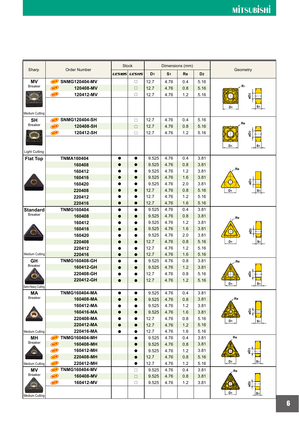|                          |                                    |               | <b>Stock</b>  |                |                | Dimensions (mm) |                |                                  |
|--------------------------|------------------------------------|---------------|---------------|----------------|----------------|-----------------|----------------|----------------------------------|
| Sharp                    | <b>Order Number</b>                | <b>UC5105</b> | <b>UC5115</b> | D <sub>1</sub> | S <sub>1</sub> | Re              | D <sub>2</sub> | Geometry                         |
| <b>MV</b>                | <b>SNMG120404-MV</b><br>NEW        |               | □             | 12.7           | 4.76           | 0.4             | 5.16           |                                  |
| <b>Breaker</b>           | <b>NEW</b><br>120408-MV            |               | $\Box$        | 12.7           | 4.76           | 0.8             | 5.16           | ·R1                              |
|                          | <b>NEW</b><br>120412-MV            |               | □             | 12.7           | 4.76           | 1.2             | 5.16           | $\pm$                            |
|                          |                                    |               |               |                |                |                 |                |                                  |
|                          |                                    |               |               |                |                |                 |                | S۱<br>D <sub>1</sub>             |
| <b>Medium Cutting</b>    |                                    |               |               |                |                |                 |                |                                  |
| <b>SH</b>                | <b>SNMG120404-SH</b><br><b>NEW</b> |               | $\Box$        | 12.7           | 4.76           | 0.4             | 5.16           |                                  |
| <b>Breaker</b>           | <b>NEW</b><br>120408-SH            |               | $\Box$        | 12.7           | 4.76           | 0.8             | 5.16           | Re                               |
|                          | 120412-SH<br>NEW                   |               | $\Box$        | 12.7           | 4.76           | 1.2             | 5.16           | ğ                                |
|                          |                                    |               |               |                |                |                 |                |                                  |
|                          |                                    |               |               |                |                |                 |                | D <sub>1</sub><br>S1             |
| <b>Light Cutting</b>     |                                    |               |               |                |                |                 |                |                                  |
| <b>Flat Top</b>          | <b>TNMA160404</b>                  | $\bullet$     | $\bullet$     | 9.525          | 4.76           | 0.4             | 3.81           |                                  |
|                          | 160408                             | 0             | $\bullet$     | 9.525          | 4.76           | 0.8             | 3.81           |                                  |
|                          | 160412                             |               |               | 9.525          | 4.76           | 1.2             | 3.81           | Re                               |
|                          | 160416                             | 0             | $\bullet$     | 9.525          | 4.76           | 1.6             | 3.81           | gD <sub>2</sub>                  |
|                          | 160420                             |               |               | 9.525          | 4.76           | 2.0             | 3.81           |                                  |
|                          | 220408                             |               |               | 12.7           | 4.76           | 0.8             | 5.16           | D <sub>1</sub><br>S1             |
|                          | 220412                             |               |               | 12.7           | 4.76           | 1.2             | 5.16           |                                  |
|                          | 220416                             | $\bullet$     | $\bullet$     | 12.7           | 4.76           | 1.6             | 5.16           |                                  |
| <b>Standard</b>          | <b>TNMG160404</b>                  | $\bullet$     | $\bullet$     | 9.525          | 4.76           | 0.4             | 3.81           |                                  |
| <b>Breaker</b>           | 160408                             | $\bullet$     | $\bullet$     | 9.525          | 4.76           | 0.8             | 3.81           | ∕Re                              |
|                          | 160412                             |               | ●             | 9.525          | 4.76           | 1.2             | 3.81           |                                  |
|                          | 160416                             |               | $\bullet$     | 9.525          | 4.76           | 1.6             | 3.81           | ဓ္ဓ                              |
|                          | 160420                             |               |               | 9.525          | 4.76           | 2.0             | 3.81           |                                  |
|                          | 220408                             |               |               | 12.7           | 4.76           | 0.8             | 5.16           | D <sub>1</sub><br>S <sub>1</sub> |
|                          | 220412                             |               | ●             | 12.7           | 4.76           | 1.2             | 5.16           |                                  |
| <b>Medium Cutting</b>    | 220416                             | $\bullet$     | $\bullet$     | 12.7           | 4.76           | 1.6             | 5.16           |                                  |
| GH<br><b>Breaker</b>     | <b>TNMG160408-GH</b>               | $\bullet$     | $\bullet$     | 9.525          | 4.76           | 0.8             | 3.81           | Re                               |
|                          | 160412-GH                          | $\bullet$     | $\bullet$     | 9.525          | 4.76           | 1.2             | 3.81           |                                  |
|                          | 220408-GH                          |               |               | 12.7           | 4.76           | 0.8             | 5.16           | øD <sub>2</sub><br>₩             |
|                          | 220412-GH                          |               |               | 12.7           | 4.76           | 1.2             | 5.16           | D <sub>1</sub><br>S <sub>1</sub> |
| Semi-Heavy Cutting<br>МA | <b>TNMG160404-MA</b>               | $\bullet$     | $\bullet$     | 9.525          | 4.76           | 0.4             | 3.81           |                                  |
| <b>Breaker</b>           | 160408-MA                          | $\bullet$     | $\bullet$     | 9.525          | 4.76           | 0.8             | 3.81           | ∕ Re                             |
|                          | 160412-MA                          | $\bullet$     | $\bullet$     | 9.525          | 4.76           | 1.2             | 3.81           |                                  |
|                          | 160416-MA                          | $\bullet$     | $\bullet$     | 9.525          | 4.76           | 1.6             | 3.81           | ã<br>⊕                           |
|                          | 220408-MA                          | $\bullet$     | $\bullet$     | 12.7           | 4.76           | 0.8             | 5.16           |                                  |
|                          | 220412-MA                          | $\bullet$     | $\bullet$     | 12.7           | 4.76           | $1.2$           | 5.16           | D1<br>S <sub>1</sub>             |
| <b>Medium Cutting</b>    | 220416-MA                          | $\bullet$     | $\bullet$     | 12.7           | 4.76           | 1.6             | 5.16           |                                  |
| MН                       | NEW<br><b>TNMG160404-MH</b>        |               | $\bullet$     | 9.525          | 4.76           | 0.4             | 3.81           | Re                               |
| <b>Breaker</b>           | <b>NEW</b><br>160408-MH            |               | 0             | 9.525          | 4.76           | 0.8             | 3.81           |                                  |
|                          | <b>NEW</b><br>160412-MH            |               |               | 9.525          | 4.76           | 1.2             | 3.81           | øD2<br>$\bm{\mathbb{O}}$         |
|                          | NEW<br>220408-MH                   |               | $\bullet$     | 12.7           | 4.76           | 0.8             | 5.16           |                                  |
| Medium Cutting           | <b>NEW</b><br>220412-MH            |               | $\bullet$     | 12.7           | 4.76           | 1.2             | 5.16           | D <sub>1</sub><br>S <sub>1</sub> |
| ΜV                       | <b>NEW</b><br><b>TNMG160404-MV</b> |               | $\Box$        | 9.525          | 4.76           | 0.4             | 3.81           | ∕Re                              |
| <b>Breaker</b>           | <b>NEW</b><br>160408-MV            |               | $\Box$        | 9.525          | 4.76           | 0.8             | 3.81           |                                  |
|                          | <b>NEW</b><br>160412-MV            |               | □             | 9.525          | 4.76           | 1.2             | 3.81           | øD2<br>Q                         |
|                          |                                    |               |               |                |                |                 |                |                                  |
| <b>Medium Cutting</b>    |                                    |               |               |                |                |                 |                | D <sub>1</sub><br>S <sub>1</sub> |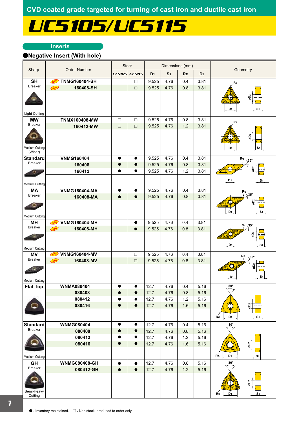# UC5105/UC5115

### **Inserts**

## a**Negative Insert (With hole)**

|                                         | <b>Stock</b><br>Dimensions (mm)    |               |               |                |                |         |                |                                                                  |
|-----------------------------------------|------------------------------------|---------------|---------------|----------------|----------------|---------|----------------|------------------------------------------------------------------|
| Sharp                                   | <b>Order Number</b>                | <b>UC5105</b> | <b>UC5115</b> | D <sub>1</sub> | S <sub>1</sub> | Re      | D <sub>2</sub> | Geometry                                                         |
| <b>SH</b>                               | <b>TNMG160404-SH</b><br>NEW        |               | □             | 9.525          | 4.76           | 0.4     | 3.81           | Re                                                               |
| <b>Breaker</b>                          | <b>NEW</b><br>160408-SH            |               | $\Box$        | 9.525          | 4.76           | 0.8     | 3.81           |                                                                  |
| <b>Light Cutting</b>                    |                                    |               |               |                |                |         |                | øD <sub>2</sub><br>D <sub>1</sub><br>S1                          |
| <b>MW</b>                               | <b>TNMX160408-MW</b>               | $\Box$        | $\Box$        | 9.525          | 4.76           | 0.8     | 3.81           |                                                                  |
| <b>Breaker</b>                          | 160412-MW                          | $\Box$        | $\Box$        | 9.525          | 4.76           | 1.2     | 3.81           | Re                                                               |
| <b>Medium Cutting</b><br>(Wiper)        |                                    |               |               |                |                |         |                | o <sub>D2</sub><br>$\bigcup$<br>D <sub>1</sub><br>S <sub>1</sub> |
| <b>Standard</b>                         | <b>VNMG160404</b>                  | $\bullet$     | $\bullet$     | 9.525          | 4.76           | 0.4     | 3.81           | Re<br>$\sqrt{35^\circ}$                                          |
| <b>Breaker</b>                          | 160408                             | $\bullet$     | $\bullet$     | 9.525          | 4.76           | 0.8     | 3.81           |                                                                  |
| о.<br><b>Medium Cutting</b>             | 160412                             | ●             | $\bullet$     | 9.525          | 4.76           | 1.2     | 3.81           | D <sub>1</sub><br>s                                              |
| <b>MA</b>                               | <b>VNMG160404-MA</b>               |               | 0             | 9.525          | 4.76           | 0.4     | 3.81           | Re                                                               |
| <b>Breaker</b>                          | 160408-MA                          |               |               | 9.525          | 4.76           | 0.8     | 3.81           | $\sqrt{35^\circ}$                                                |
| <b>Medium Cutting</b>                   |                                    |               |               |                |                |         |                | D <sub>1</sub><br>S <sub>1</sub>                                 |
| <b>MH</b>                               | <b>VNMG160404-MH</b><br>NEW        |               | $\bullet$     | 9.525          | 4.76           | 0.4     | 3.81           | $Re \sqrt{35^\circ}$                                             |
| <b>Breaker</b>                          | (NEW)<br>160408-MH                 |               | $\bullet$     | 9.525          | 4.76           | 0.8     | 3.81           |                                                                  |
| <b>Medium Cutting</b>                   |                                    |               |               |                |                |         |                | D <sub>1</sub><br>S <sub>1</sub>                                 |
| <b>MV</b>                               | <b>VNMG160404-MV</b><br><b>NEW</b> |               | $\Box$        | 9.525          | 4.76           | 0.4     | 3.81           | Re                                                               |
| <b>Breaker</b><br><b>Medium Cutting</b> | NEW<br>160408-MV                   |               | $\Box$        | 9.525          | 4.76           | 0.8     | 3.81           | $\backslash 35^\circ$<br>n<br>S <sub>1</sub><br>D <sub>1</sub>   |
| <b>Flat Top</b>                         | <b>WNMA080404</b>                  |               |               | 12.7           | 4.76           | 0.4     | 5.16           | $80^{\circ}$                                                     |
|                                         | 080408                             |               |               | 12.7           | 4.76           | 0.8     | 5.16           |                                                                  |
|                                         | 080412                             |               |               | 12.7           | 4.76           | $1.2\,$ | 5.16           |                                                                  |
|                                         | 080416                             | $\bullet$     | $\bullet$     | 12.7           | 4.76           | 1.6     | 5.16           | øD <sub>2</sub><br>$\oplus$                                      |
|                                         |                                    |               |               |                |                |         |                | D <sub>1</sub><br>S <sub>1</sub><br>Re                           |
| <b>Standard</b><br><b>Breaker</b>       | <b>WNMG080404</b>                  | $\bullet$     | $\bullet$     | 12.7           | 4.76           | 0.4     | 5.16           | $80^\circ$                                                       |
|                                         | 080408                             | $\bullet$     | $\bullet$     | 12.7           | 4.76           | 0.8     | 5.16           |                                                                  |
|                                         | 080412                             |               |               | 12.7           | 4.76           | 1.2     | 5.16           |                                                                  |
| Medium Cutting                          | 080416                             | $\bullet$     | $\bullet$     | 12.7           | 4.76           | 1.6     | 5.16           | øD <sub>2</sub><br>D <sub>1</sub><br>Re<br>S <sub>1</sub>        |
| <b>GH</b>                               | <b>WNMG080408-GH</b>               | $\bullet$     | $\bullet$     | 12.7           | 4.76           | 0.8     | 5.16           | $80^\circ$                                                       |
| Breaker<br>Semi-Heavy<br>Cutting        | 080412-GH                          | $\bullet$     | $\bullet$     | 12.7           | 4.76           | $1.2$   | 5.16           | $\bigcirc$<br>øD2<br>D <sub>1</sub><br>Re<br>S <sub>1</sub>      |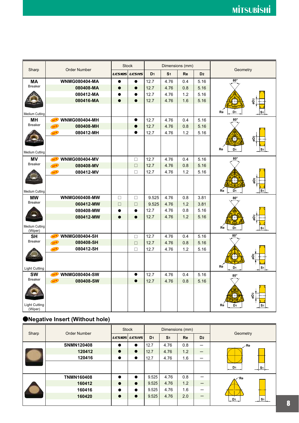|                                 |                                    |               | <b>Stock</b>  |                |                | Dimensions (mm) |                | Geometry                               |
|---------------------------------|------------------------------------|---------------|---------------|----------------|----------------|-----------------|----------------|----------------------------------------|
| Sharp                           | <b>Order Number</b>                | <b>UC5105</b> | <b>UC5115</b> | D <sub>1</sub> | S <sub>1</sub> | Re              | D <sub>2</sub> |                                        |
| <b>MA</b>                       | <b>WNMG080404-MA</b>               | ●             | $\bullet$     | 12.7           | 4.76           | 0.4             | 5.16           | $80^\circ$                             |
| <b>Breaker</b>                  | 080408-MA                          |               | 0             | 12.7           | 4.76           | 0.8             | 5.16           |                                        |
|                                 | 080412-MA                          |               |               | 12.7           | 4.76           | 1.2             | 5.16           |                                        |
|                                 | 080416-MA                          | $\bullet$     | $\bullet$     | 12.7           | 4.76           | 1.6             | 5.16           | ⊕                                      |
|                                 |                                    |               |               |                |                |                 |                |                                        |
| Medium Cutting                  |                                    |               |               |                |                |                 |                | Re<br>D <sub>1</sub><br>s              |
| MН                              | <b>WNMG080404-MH</b><br><b>NEW</b> |               | $\bullet$     | 12.7           | 4.76           | 0.4             | 5.16           | $80^\circ$                             |
| <b>Breaker</b>                  | NEW<br>080408-MH                   |               | $\bullet$     | 12.7           | 4.76           | 0.8             | 5.16           |                                        |
|                                 | 080412-MH<br><b>NEW</b>            |               | $\bullet$     | 12.7           | 4.76           | 1.2             | 5.16           |                                        |
|                                 |                                    |               |               |                |                |                 |                | Ο<br>õ                                 |
|                                 |                                    |               |               |                |                |                 |                |                                        |
| <b>Medium Cutting</b>           |                                    |               |               |                |                |                 |                | Re<br>D <sub>1</sub><br>S1             |
| <b>MV</b>                       | <b>WNMG080404-MV</b><br><b>NEW</b> |               | $\Box$        | 12.7           | 4.76           | 0.4             | 5.16           | $80^\circ$                             |
| <b>Breaker</b>                  | NEW<br>080408-MV                   |               | $\Box$        | 12.7           | 4.76           | 0.8             | 5.16           |                                        |
|                                 | 080412-MV<br>NEW                   |               | $\Box$        | 12.7           | 4.76           | 1.2             | 5.16           |                                        |
|                                 |                                    |               |               |                |                |                 |                | 0<br>øD <sub>2</sub>                   |
|                                 |                                    |               |               |                |                |                 |                |                                        |
| <b>Medium Cutting</b>           |                                    |               |               |                |                |                 |                | Re<br>D <sub>1</sub><br>S <sub>1</sub> |
| <b>MW</b>                       | <b>WNMG060408-MW</b>               | $\Box$        | $\Box$        | 9.525          | 4.76           | 0.8             | 3.81           | $80^\circ$                             |
| <b>Breaker</b>                  | 060412-MW                          | $\Box$        | $\Box$        | 9.525          | 4.76           | 1.2             | 3.81           |                                        |
|                                 | 080408-MW                          | $\bullet$     | $\bullet$     | 12.7           | 4.76           | 0.8             | 5.16           |                                        |
|                                 | 080412-MW                          | $\bullet$     | $\bullet$     | 12.7           | 4.76           | 1.2             | 5.16           | $\bigodot$                             |
| Medium Cutting                  |                                    |               |               |                |                |                 |                |                                        |
| (Wiper)                         |                                    |               |               |                |                |                 |                | Re<br>D <sub>1</sub><br>S <sub>1</sub> |
| <b>SH</b>                       | <b>WNMG080404-SH</b><br><b>NEW</b> |               | $\Box$        | 12.7           | 4.76           | 0.4             | 5.16           | $80^\circ$                             |
| <b>Breaker</b>                  | <b>NEW</b><br>080408-SH            |               | $\Box$        | 12.7           | 4.76           | 0.8             | 5.16           |                                        |
|                                 | 080412-SH<br>NEW                   |               | $\Box$        | 12.7           | 4.76           | 1.2             | 5.16           |                                        |
|                                 |                                    |               |               |                |                |                 |                | øD2<br>Œ                               |
|                                 |                                    |               |               |                |                |                 |                |                                        |
| <b>Light Cutting</b>            |                                    |               |               |                |                |                 |                | Ré<br>D <sub>1</sub><br>S <sub>1</sub> |
| <b>SW</b>                       | <b>WNMG080404-SW</b><br><b>NEW</b> |               | $\bullet$     | 12.7           | 4.76           | 0.4             | 5.16           | $80^\circ$                             |
| <b>Breaker</b>                  | <b>NEW</b><br>080408-SW            |               | $\bullet$     | 12.7           | 4.76           | 0.8             | 5.16           |                                        |
|                                 |                                    |               |               |                |                |                 |                |                                        |
|                                 |                                    |               |               |                |                |                 |                | 0<br>ខ្ព                               |
|                                 |                                    |               |               |                |                |                 |                |                                        |
| <b>Light Cutting</b><br>(Wiper) |                                    |               |               |                |                |                 |                | Re<br>D <sub>1</sub><br>s٠             |

# a**Negative Insert (Without hole)**

|       | Order Number      | <b>Stock</b>  |               |                | Dimensions (mm) |     |                          | Geometry                         |
|-------|-------------------|---------------|---------------|----------------|-----------------|-----|--------------------------|----------------------------------|
| Sharp |                   | <b>UC5105</b> | <b>UC5115</b> | D <sub>1</sub> | S <sub>1</sub>  | Re  | D <sub>2</sub>           |                                  |
|       | <b>SNMN120408</b> | $\bullet$     | $\bullet$     | 12.7           | 4.76            | 0.8 | -                        | $\angle$ Re                      |
|       | 120412            | $\bullet$     | $\bullet$     | 12.7           | 4.76            | 1.2 | $\overline{\phantom{m}}$ |                                  |
|       | 120416            | $\bullet$     | $\bullet$     | 12.7           | 4.76            | 1.6 | –                        |                                  |
|       |                   |               |               |                |                 |     |                          | D <sub>1</sub><br>S <sub>1</sub> |
|       | <b>TNMN160408</b> | $\bullet$     | $\bullet$     | 9.525          | 4.76            | 0.8 | –                        | ⊥∕Re                             |
|       | 160412            | $\bullet$     | $\bullet$     | 9.525          | 4.76            | 1.2 |                          |                                  |
|       | 160416            | $\bullet$     | $\bullet$     | 9.525          | 4.76            | 1.6 |                          |                                  |
|       | 160420            | $\bullet$     | $\bullet$     | 9.525          | 4.76            | 2.0 |                          | S <sub>1</sub><br>D <sub>1</sub> |
|       |                   |               |               |                |                 |     |                          |                                  |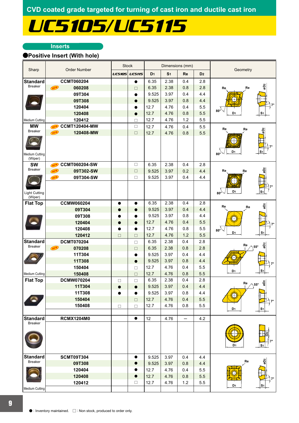# UC5105/UC5115

### **Inserts**

## a**Positive Insert (With hole)**

|                                   |                                    |               | <b>Stock</b>     |                |                | Dimensions (mm) |                |                                                |
|-----------------------------------|------------------------------------|---------------|------------------|----------------|----------------|-----------------|----------------|------------------------------------------------|
| Sharp                             | <b>Order Number</b>                | <b>UC5105</b> | <b>UC5115</b>    | D <sub>1</sub> | S <sub>1</sub> | Re              | D <sub>2</sub> | Geometry                                       |
| <b>Standard</b>                   | <b>CCMT060204</b>                  |               | $\bullet$        | 6.35           | 2.38           | 0.4             | 2.8            |                                                |
| <b>Breaker</b>                    | NEW<br>060208                      |               | $\Box$           | 6.35           | 2.38           | 0.8             | 2.8            | øD <sub>2</sub><br>Re<br>Re                    |
|                                   | 09T304                             |               |                  | 9.525          | 3.97           | 0.4             | 4.4            |                                                |
|                                   | 09T308                             |               | O                | 9.525          | 3.97           | 0.8             | 4.4            |                                                |
|                                   | 120404                             |               | $\bullet$        | 12.7           | 4.76           | 0.4             | 5.5            |                                                |
|                                   | 120408                             |               | $\bullet$        | 12.7           | 4.76           | 0.8             | 5.5            | $80^\circ$<br>D <sub>1</sub><br>S1             |
| Medium Cutting                    | 120412                             |               | $\Box$           | 12.7           | 4.76           | 1.2             | 5.5            |                                                |
| <b>MW</b>                         | <b>CCMT120404-MW</b><br><b>NEW</b> |               | $\Box$           | 12.7           | 4.76           | 0.4             | 5.5            | Re<br>Re                                       |
| Breaker                           | NEW<br>120408-MW                   |               | $\Box$           | 12.7           | 4.76           | 0.8             | 5.5            | õ                                              |
| Medium Cutting                    |                                    |               |                  |                |                |                 |                | D <sub>1</sub><br>$80^\circ$                   |
| (Wiper)                           |                                    |               |                  |                |                |                 |                |                                                |
| <b>SW</b><br><b>Breaker</b>       | <b>CCMT060204-SW</b><br>NEW<br>NEW |               | $\Box$<br>$\Box$ | 6.35           | 2.38           | 0.4             | 2.8<br>4.4     | øD2<br>Re                                      |
|                                   | 09T302-SW<br>09T304-SW<br>NEW      |               | $\Box$           | 9.525<br>9.525 | 3.97<br>3.97   | 0.2<br>0.4      | 4.4            | Ŗe                                             |
|                                   |                                    |               |                  |                |                |                 |                |                                                |
| <b>Light Cutting</b><br>(Wiper)   |                                    |               |                  |                |                |                 |                | D <sub>1</sub><br>80°                          |
| <b>Flat Top</b>                   | <b>CCMW060204</b>                  | $\bullet$     | $\bullet$        | 6.35           | 2.38           | 0.4             | 2.8            | øD <sub>2</sub><br>Re<br>Re                    |
|                                   | 09T304                             | e             |                  | 9.525          | 3.97           | 0.4             | 4.4            |                                                |
|                                   | 09T308                             |               | $\bullet$        | 9.525          | 3.97           | 0.8             | 4.4            |                                                |
|                                   | 120404                             | O             | $\bullet$        | 12.7           | 4.76           | 0.4             | 5.5            |                                                |
|                                   | 120408                             |               | $\bullet$        | 12.7           | 4.76           | 0.8             | 5.5            | $80^\circ$<br>D <sub>1</sub><br>S <sub>1</sub> |
|                                   | 120412                             | $\Box$        | $\Box$           | 12.7           | 4.76           | 1.2             | 5.5            |                                                |
| <b>Standard</b><br><b>Breaker</b> | <b>DCMT070204</b>                  |               | $\Box$           | 6.35           | 2.38           | 0.4             | 2.8            | øD2<br>Re<br>$55^\circ$                        |
|                                   | <b>NEW</b><br>070208               |               | $\Box$           | 6.35           | 2.38           | 0.8             | 2.8            |                                                |
|                                   | 11T304                             |               | $\bullet$        | 9.525          | 3.97           | 0.4             | 4.4            |                                                |
|                                   | 11T308                             |               | $\bullet$        | 9.525          | 3.97           | 0.8             | 4.4            |                                                |
|                                   | 150404                             |               | $\Box$           | 12.7           | 4.76           | 0.4             | 5.5            | D <sub>1</sub><br>S <sub>1</sub>               |
| Medium Cutting                    | 150408<br><b>DCMW070204</b>        |               | $\Box$           | 12.7           | 4.76           | 0.8             | 5.5<br>2.8     |                                                |
| <b>Flat Top</b>                   |                                    | $\Box$        | $\Box$           | 6.35<br>9.525  | 2.38           | 0.4             |                | øD2<br>Re<br>$\triangle$ 55°                   |
|                                   | 11T304<br>11T308                   |               |                  | 9.525          | 3.97           | 0.4             | 4.4            |                                                |
|                                   | 150404                             |               | e<br>$\Box$      | 12.7           | 3.97<br>4.76   | 0.8<br>0.4      | 4.4<br>5.5     |                                                |
|                                   | 150408                             |               |                  | 12.7           | 4.76           | 0.8             | 5.5            |                                                |
|                                   |                                    | $\Box$        | $\Box$           |                |                |                 |                | D1<br>S <sub>1</sub>                           |
| <b>Standard</b>                   | <b>RCMX1204M0</b>                  |               | $\bullet$        | 12             | 4.76           | —               | 4.2            |                                                |
| <b>Breaker</b>                    |                                    |               |                  |                |                |                 |                | D <sub>1</sub><br>S <sub>1</sub>               |
| <b>Standard</b>                   | <b>SCMT09T304</b>                  |               | $\bullet$        | 9.525          | 3.97           | 0.4             | 4.4            |                                                |
| <b>Breaker</b>                    | 09T308                             |               | 0                | 9.525          | 3.97           | 0.8             | 4.4            | øDz<br>Re                                      |
|                                   | 120404                             |               |                  | 12.7           | 4.76           | 0.4             | 5.5            |                                                |
|                                   | 120408                             |               | $\bullet$        | 12.7           | 4.76           | 0.8             | 5.5            |                                                |
|                                   | 120412                             |               | $\Box$           | 12.7           | 4.76           | 1.2             | $5.5\,$        | D1                                             |
| Medium Cutting                    |                                    |               |                  |                |                |                 |                |                                                |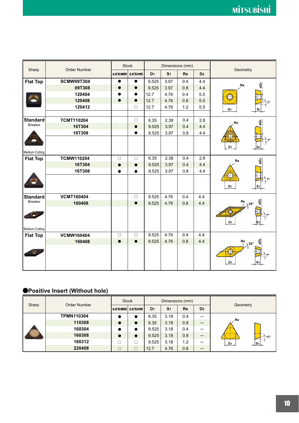| Sharp           | <b>Order Number</b> |               | <b>Stock</b>  |                | Dimensions (mm) |           |                | Geometry               |
|-----------------|---------------------|---------------|---------------|----------------|-----------------|-----------|----------------|------------------------|
|                 |                     | <b>UC5105</b> | <b>UC5115</b> | D <sub>1</sub> | S <sub>1</sub>  | <b>Re</b> | D <sub>2</sub> |                        |
| <b>Flat Top</b> | <b>SCMW09T304</b>   | $\bullet$     | $\bullet$     | 9.525          | 3.97            | 0.4       | 4.4            |                        |
|                 | 09T308              |               | $\bullet$     | 9.525          | 3.97            | 0.8       | 4.4            | øD2<br>Re              |
|                 | 120404              |               | $\bullet$     | 12.7           | 4.76            | 0.4       | 5.5            |                        |
|                 | 120408              | $\bullet$     | $\bullet$     | 12.7           | 4.76            | 0.8       | 5.5            |                        |
|                 | 120412              |               | $\Box$        | 12.7           | 4.76            | 1.2       | 5.5            | D <sub>1</sub>         |
|                 |                     |               |               |                |                 |           |                |                        |
| <b>Standard</b> | <b>TCMT110204</b>   |               | $\Box$        | 6.35           | 2.38            | 0.4       | 2.8            | øD2<br>Re              |
| <b>Breaker</b>  | 16T304              |               | $\bullet$     | 9.525          | 3.97            | 0.4       | 4.4            |                        |
|                 | 16T308              |               | $\bullet$     | 9.525          | 3.97            | 0.8       | 4.4            |                        |
|                 |                     |               |               |                |                 |           |                |                        |
|                 |                     |               |               |                |                 |           |                | D <sub>1</sub>         |
| Medium Cutting  |                     |               |               |                |                 |           |                |                        |
| <b>Flat Top</b> | <b>TCMW110204</b>   | $\Box$        | $\Box$        | 6.35           | 2.38            | 0.4       | 2.8            | øD2<br>Re              |
|                 | 16T304              | $\bullet$     | $\bullet$     | 9.525          | 3.97            | 0.4       | 4.4            |                        |
|                 | 16T308              | $\bullet$     | $\bullet$     | 9.525          | 3.97            | 0.8       | 4.4            |                        |
|                 |                     |               |               |                |                 |           |                |                        |
|                 |                     |               |               |                |                 |           |                | D1                     |
| <b>Standard</b> | <b>VCMT160404</b>   |               | $\Box$        | 9.525          | 4.76            | 0.4       | 4.4            |                        |
| <b>Breaker</b>  | 160408              |               | $\bullet$     | 9.525          | 4.76            | 0.8       | 4.4            | 2g<br>Re<br>$35^\circ$ |
|                 |                     |               |               |                |                 |           |                | O                      |
|                 |                     |               |               |                |                 |           |                |                        |
|                 |                     |               |               |                |                 |           |                | D <sub>1</sub>         |
| Medium Cutting  |                     |               |               |                |                 |           |                |                        |
| <b>Flat Top</b> | <b>VCMW160404</b>   | $\Box$        | $\Box$        | 9.525          | 4.76            | 0.4       | 4.4            |                        |
|                 | 160408              | $\bullet$     | $\bullet$     | 9.525          | 4.76            | 0.8       | 4.4            | Re<br>$35^\circ$       |
|                 |                     |               |               |                |                 |           |                |                        |
|                 |                     |               |               |                |                 |           |                |                        |
|                 |                     |               |               |                |                 |           |                | D <sub>1</sub>         |
|                 |                     |               |               |                |                 |           |                |                        |

# a**Positive Insert (Without hole)**

| Sharp | <b>Order Number</b> | <b>Stock</b> |                      | Dimensions (mm) |                |           |                |                                         |
|-------|---------------------|--------------|----------------------|-----------------|----------------|-----------|----------------|-----------------------------------------|
|       |                     |              | <i>UC5105 UC5115</i> | D <sub>1</sub>  | S <sub>1</sub> | <b>Re</b> | D <sub>2</sub> | Geometry                                |
|       | <b>TPMN110304</b>   |              |                      | 6.35            | 3.18           | 0.4       |                | ∕.Re<br>$11^{\circ}$<br>$\frac{D_1}{2}$ |
|       | 110308              | $\bullet$    |                      | 6.35            | 3.18           | 0.8       |                |                                         |
|       | 160304              | $\bullet$    |                      | 9.525           | 3.18           | 0.4       |                |                                         |
|       | 160308              | $\bullet$    |                      | 9.525           | 3.18           | 0.8       | –              |                                         |
|       | 160312              |              |                      | 9.525           | 3.18           | 1.2       |                |                                         |
|       | 220408              |              |                      | 12.7            | 4.76           | 0.8       | –              |                                         |